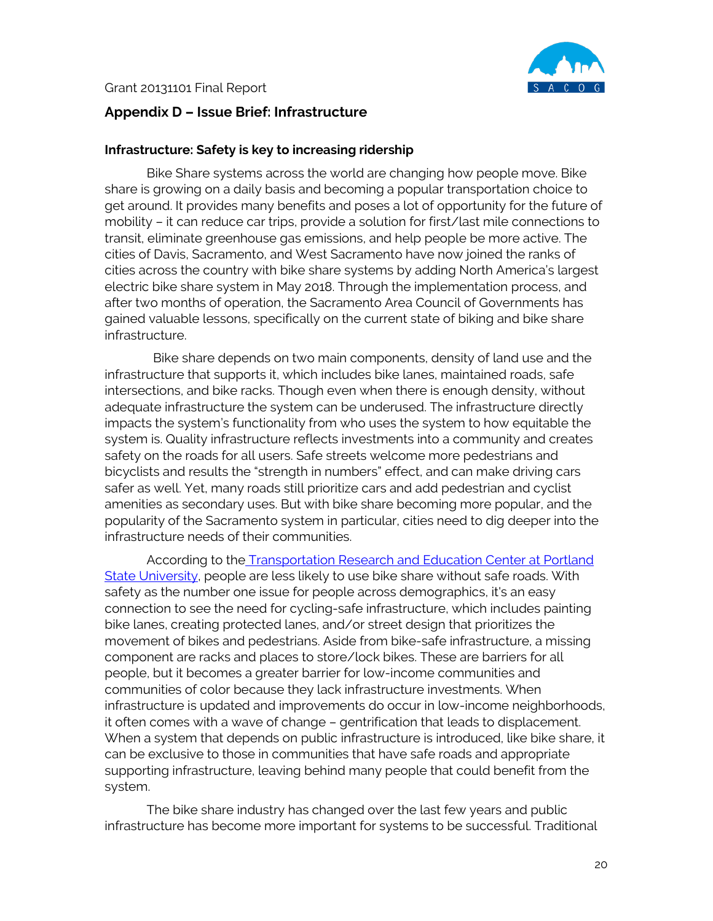

## **Appendix D – Issue Brief: Infrastructure**

## **Infrastructure: Safety is key to increasing ridership**

Bike Share systems across the world are changing how people move. Bike share is growing on a daily basis and becoming a popular transportation choice to get around. It provides many benefits and poses a lot of opportunity for the future of mobility – it can reduce car trips, provide a solution for first/last mile connections to transit, eliminate greenhouse gas emissions, and help people be more active. The cities of Davis, Sacramento, and West Sacramento have now joined the ranks of cities across the country with bike share systems by adding North America's largest electric bike share system in May 2018. Through the implementation process, and after two months of operation, the Sacramento Area Council of Governments has gained valuable lessons, specifically on the current state of biking and bike share infrastructure.

 Bike share depends on two main components, density of land use and the infrastructure that supports it, which includes bike lanes, maintained roads, safe intersections, and bike racks. Though even when there is enough density, without adequate infrastructure the system can be underused. The infrastructure directly impacts the system's functionality from who uses the system to how equitable the system is. Quality infrastructure reflects investments into a community and creates safety on the roads for all users. Safe streets welcome more pedestrians and bicyclists and results the "strength in numbers" effect, and can make driving cars safer as well. Yet, many roads still prioritize cars and add pedestrian and cyclist amenities as secondary uses. But with bike share becoming more popular, and the popularity of the Sacramento system in particular, cities need to dig deeper into the infrastructure needs of their communities.

According to the [Transportation Research and Education Center at Portland](https://trec.pdx.edu/research/project/884/Evaluating_Efforts_to_Improve_the_Equity_of_Bike_Share_Systems)  [State University,](https://trec.pdx.edu/research/project/884/Evaluating_Efforts_to_Improve_the_Equity_of_Bike_Share_Systems) people are less likely to use bike share without safe roads. With safety as the number one issue for people across demographics, it's an easy connection to see the need for cycling-safe infrastructure, which includes painting bike lanes, creating protected lanes, and/or street design that prioritizes the movement of bikes and pedestrians. Aside from bike-safe infrastructure, a missing component are racks and places to store/lock bikes. These are barriers for all people, but it becomes a greater barrier for low-income communities and communities of color because they lack infrastructure investments. When infrastructure is updated and improvements do occur in low-income neighborhoods, it often comes with a wave of change – gentrification that leads to displacement. When a system that depends on public infrastructure is introduced, like bike share, it can be exclusive to those in communities that have safe roads and appropriate supporting infrastructure, leaving behind many people that could benefit from the system.

The bike share industry has changed over the last few years and public infrastructure has become more important for systems to be successful. Traditional